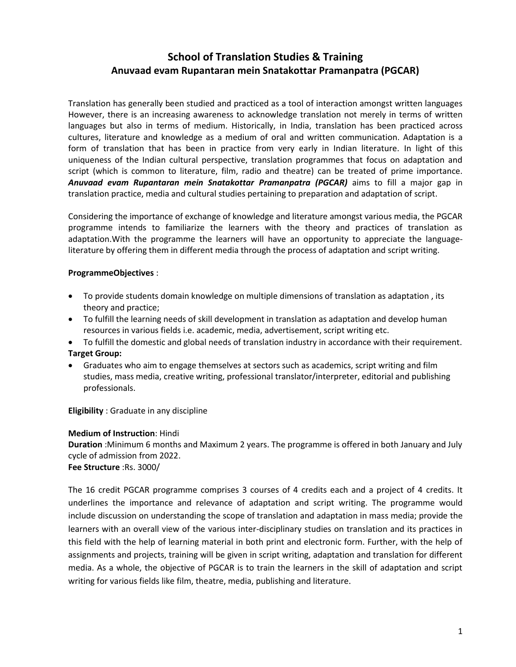# **School of Translation Studies & Training Anuvaad evam Rupantaran mein Snatakottar Pramanpatra (PGCAR)**

Translation has generally been studied and practiced as a tool of interaction amongst written languages However, there is an increasing awareness to acknowledge translation not merely in terms of written languages but also in terms of medium. Historically, in India, translation has been practiced across cultures, literature and knowledge as a medium of oral and written communication. Adaptation is a form of translation that has been in practice from very early in Indian literature. In light of this uniqueness of the Indian cultural perspective, translation programmes that focus on adaptation and script (which is common to literature, film, radio and theatre) can be treated of prime importance. *Anuvaad evam Rupantaran mein Snatakottar Pramanpatra (PGCAR)* aims to fill a major gap in translation practice, media and cultural studies pertaining to preparation and adaptation of script.

Considering the importance of exchange of knowledge and literature amongst various media, the PGCAR programme intends to familiarize the learners with the theory and practices of translation as adaptation.With the programme the learners will have an opportunity to appreciate the languageliterature by offering them in different media through the process of adaptation and script writing.

#### **ProgrammeObjectives** :

- To provide students domain knowledge on multiple dimensions of translation as adaptation , its theory and practice;
- To fulfill the learning needs of skill development in translation as adaptation and develop human resources in various fields i.e. academic, media, advertisement, script writing etc.
- To fulfill the domestic and global needs of translation industry in accordance with their requirement. **Target Group:**
- Graduates who aim to engage themselves at sectors such as academics, script writing and film studies, mass media, creative writing, professional translator/interpreter, editorial and publishing professionals.

**Eligibility** : Graduate in any discipline

## **Medium of Instruction**: Hindi

**Duration** :Minimum 6 months and Maximum 2 years. The programme is offered in both January and July cycle of admission from 2022. **Fee Structure** :Rs. 3000/

The 16 credit PGCAR programme comprises 3 courses of 4 credits each and a project of 4 credits. It underlines the importance and relevance of adaptation and script writing. The programme would include discussion on understanding the scope of translation and adaptation in mass media; provide the learners with an overall view of the various inter-disciplinary studies on translation and its practices in this field with the help of learning material in both print and electronic form. Further, with the help of assignments and projects, training will be given in script writing, adaptation and translation for different media. As a whole, the objective of PGCAR is to train the learners in the skill of adaptation and script writing for various fields like film, theatre, media, publishing and literature.